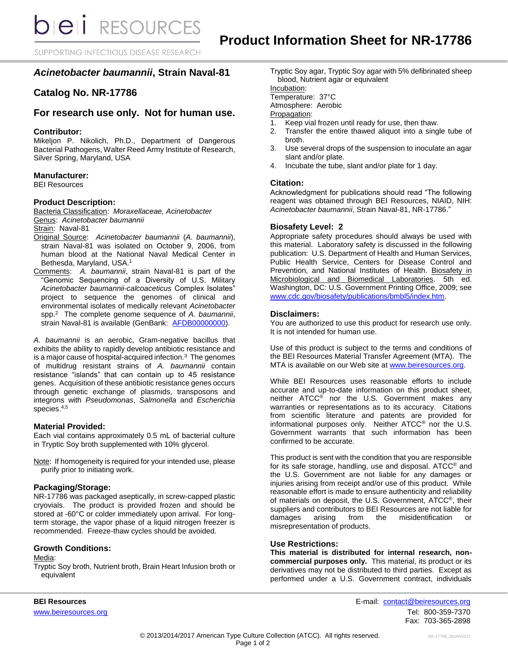SUPPORTING INFECTIOUS DISEASE RESEARCH

# *Acinetobacter baumannii***, Strain Naval-81**

# **Catalog No. NR-17786**

# **For research use only. Not for human use.**

# **Contributor:**

Mikeljon P. Nikolich, Ph.D., Department of Dangerous Bacterial Pathogens, Walter Reed Army Institute of Research, Silver Spring, Maryland, USA

## **Manufacturer:**

BEI Resources

## **Product Description:**

Bacteria Classification: *Moraxellaceae, Acinetobacter* Genus: *Acinetobacter baumannii* Strain: Naval-81

- Original Source: *Acinetobacter baumannii* (*A. baumannii*), strain Naval-81 was isolated on October 9, 2006, from human blood at the National Naval Medical Center in Bethesda, Maryland, USA. 1
- Comments: *A. baumannii*, strain Naval-81 is part of the "Genomic Sequencing of a Diversity of U.S. Military *Acinetobacter baumannii*-*calcoaceticus* Complex Isolates" project to sequence the genomes of clinical and environmental isolates of medically relevant *Acinetobacter* spp.<sup>2</sup> The complete genome sequence of *A. baumannii*, strain Naval-81 is available (GenBank: [AFDB00000000\)](http://www.ncbi.nlm.nih.gov/nucleotide/AFDB00000000?).

*A. baumannii* is an aerobic, Gram-negative bacillus that exhibits the ability to rapidly develop antibiotic resistance and is a major cause of hospital-acquired infection.<sup>3</sup> The genomes of multidrug resistant strains of *A. baumannii* contain resistance "islands" that can contain up to 45 resistance genes. Acquisition of these antibiotic resistance genes occurs through genetic exchange of plasmids, transposons and integrons with *Pseudomonas*, *Salmonella* and *Escherichia* species.<sup>4,5</sup>

### **Material Provided:**

Each vial contains approximately 0.5 mL of bacterial culture in Tryptic Soy broth supplemented with 10% glycerol.

Note: If homogeneity is required for your intended use, please purify prior to initiating work.

### **Packaging/Storage:**

NR-17786 was packaged aseptically, in screw-capped plastic cryovials. The product is provided frozen and should be stored at -60°C or colder immediately upon arrival. For longterm storage, the vapor phase of a liquid nitrogen freezer is recommended. Freeze-thaw cycles should be avoided.

### **Growth Conditions:**

#### Media:

Tryptic Soy broth, Nutrient broth, Brain Heart Infusion broth or equivalent

Tryptic Soy agar, Tryptic Soy agar with 5% defibrinated sheep blood, Nutrient agar or equivalent

Incubation:

Temperature: 37°C

Atmosphere: Aerobic

# Propagation:

- 1. Keep vial frozen until ready for use, then thaw.
- 2. Transfer the entire thawed aliquot into a single tube of broth.
- 3. Use several drops of the suspension to inoculate an agar slant and/or plate.
- 4. Incubate the tube, slant and/or plate for 1 day.

## **Citation:**

Acknowledgment for publications should read "The following reagent was obtained through BEI Resources, NIAID, NIH: *Acinetobacter baumannii*, Strain Naval-81, NR-17786."

### **Biosafety Level: 2**

Appropriate safety procedures should always be used with this material. Laboratory safety is discussed in the following publication: U.S. Department of Health and Human Services, Public Health Service, Centers for Disease Control and Prevention, and National Institutes of Health. Biosafety in Microbiological and Biomedical Laboratories. 5th ed. Washington, DC: U.S. Government Printing Office, 2009; see [www.cdc.gov/biosafety/publications/bmbl5/index.htm.](http://www.cdc.gov/biosafety/publications/bmbl5/index.htm)

#### **Disclaimers:**

You are authorized to use this product for research use only. It is not intended for human use.

Use of this product is subject to the terms and conditions of the BEI Resources Material Transfer Agreement (MTA). The MTA is available on our Web site at [www.beiresources.org.](http://www.beiresources.org/)

While BEI Resources uses reasonable efforts to include accurate and up-to-date information on this product sheet, neither ATCC<sup>®</sup> nor the U.S. Government makes any warranties or representations as to its accuracy. Citations from scientific literature and patents are provided for informational purposes only. Neither ATCC® nor the U.S. Government warrants that such information has been confirmed to be accurate.

This product is sent with the condition that you are responsible for its safe storage, handling, use and disposal. ATCC® and the U.S. Government are not liable for any damages or injuries arising from receipt and/or use of this product. While reasonable effort is made to ensure authenticity and reliability of materials on deposit, the U.S. Government, ATCC®, their suppliers and contributors to BEI Resources are not liable for damages arising from the misidentification or misrepresentation of products.

### **Use Restrictions:**

**This material is distributed for internal research, noncommercial purposes only.** This material, its product or its derivatives may not be distributed to third parties. Except as performed under a U.S. Government contract, individuals

**BEI Resources** E-mail: contact@beiresources.org [www.beiresources.org](http://www.beiresources.org/) **Tel: 800-359-7370** Fax: 703-365-2898